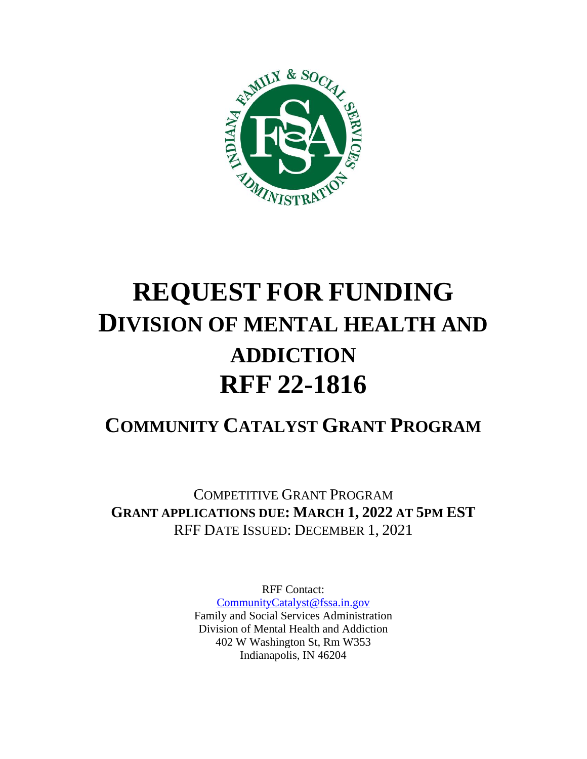

# **REQUEST FOR FUNDING DIVISION OF MENTAL HEALTH AND ADDICTION RFF 22-1816**

# **COMMUNITY CATALYST GRANT PROGRAM**

COMPETITIVE GRANT PROGRAM **GRANT APPLICATIONS DUE: MARCH 1, 2022 AT 5PM EST** RFF DATE ISSUED: DECEMBER 1, 2021

> RFF Contact: [CommunityCatalyst@fssa.in.gov](mailto:CommunityCatalyst@fssa.in.gov) Family and Social Services Administration Division of Mental Health and Addiction 402 W Washington St, Rm W353 Indianapolis, IN 46204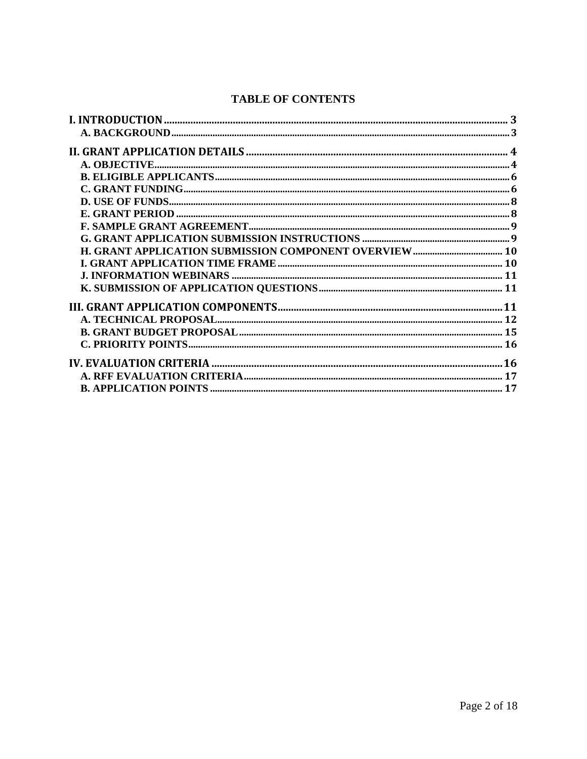#### **TABLE OF CONTENTS**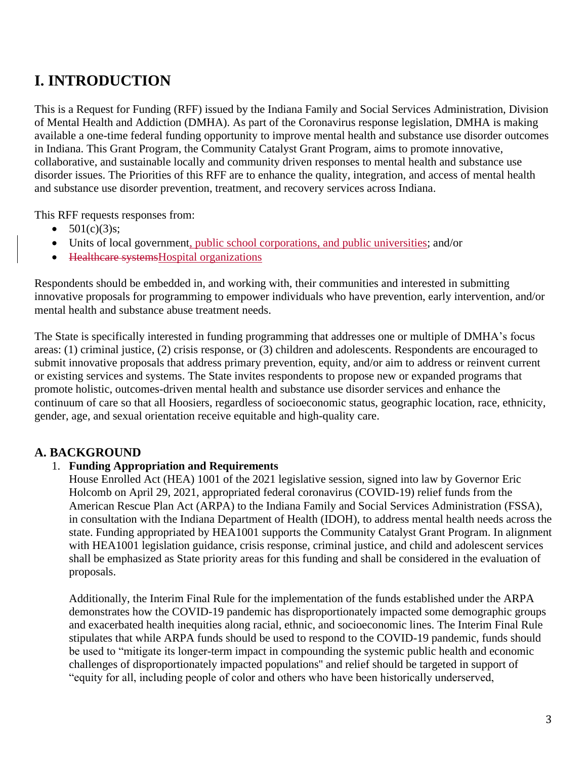# <span id="page-2-0"></span>**I. INTRODUCTION**

This is a Request for Funding (RFF) issued by the Indiana Family and Social Services Administration, Division of Mental Health and Addiction (DMHA). As part of the Coronavirus response legislation, DMHA is making available a one-time federal funding opportunity to improve mental health and substance use disorder outcomes in Indiana. This Grant Program, the Community Catalyst Grant Program, aims to promote innovative, collaborative, and sustainable locally and community driven responses to mental health and substance use disorder issues. The Priorities of this RFF are to enhance the quality, integration, and access of mental health and substance use disorder prevention, treatment, and recovery services across Indiana.

This RFF requests responses from:

- $501(c)(3)s;$
- Units of local government, public school corporations, and public universities; and/or
- Healthcare systems Hospital organizations

Respondents should be embedded in, and working with, their communities and interested in submitting innovative proposals for programming to empower individuals who have prevention, early intervention, and/or mental health and substance abuse treatment needs.

The State is specifically interested in funding programming that addresses one or multiple of DMHA's focus areas: (1) criminal justice, (2) crisis response, or (3) children and adolescents. Respondents are encouraged to submit innovative proposals that address primary prevention, equity, and/or aim to address or reinvent current or existing services and systems. The State invites respondents to propose new or expanded programs that promote holistic, outcomes-driven mental health and substance use disorder services and enhance the continuum of care so that all Hoosiers, regardless of socioeconomic status, geographic location, race, ethnicity, gender, age, and sexual orientation receive equitable and high-quality care.

#### <span id="page-2-1"></span>**A. BACKGROUND**

#### 1. **Funding Appropriation and Requirements**

House Enrolled Act (HEA) 1001 of the 2021 legislative session, signed into law by Governor Eric Holcomb on April 29, 2021, appropriated federal coronavirus (COVID-19) relief funds from the American Rescue Plan Act (ARPA) to the Indiana Family and Social Services Administration (FSSA), in consultation with the Indiana Department of Health (IDOH), to address mental health needs across the state. Funding appropriated by HEA1001 supports the Community Catalyst Grant Program. In alignment with HEA1001 legislation guidance, crisis response, criminal justice, and child and adolescent services shall be emphasized as State priority areas for this funding and shall be considered in the evaluation of proposals.

Additionally, the Interim Final Rule for the implementation of the funds established under the ARPA demonstrates how the COVID-19 pandemic has disproportionately impacted some demographic groups and exacerbated health inequities along racial, ethnic, and socioeconomic lines. The Interim Final Rule stipulates that while ARPA funds should be used to respond to the COVID-19 pandemic, funds should be used to "mitigate its longer-term impact in compounding the systemic public health and economic challenges of disproportionately impacted populations'' and relief should be targeted in support of "equity for all, including people of color and others who have been historically underserved,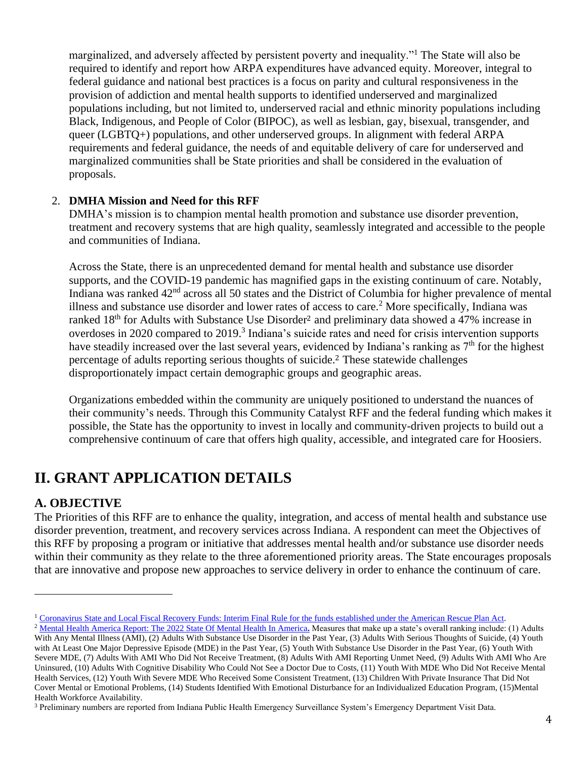marginalized, and adversely affected by persistent poverty and inequality."<sup>1</sup> The State will also be required to identify and report how ARPA expenditures have advanced equity. Moreover, integral to federal guidance and national best practices is a focus on parity and cultural responsiveness in the provision of addiction and mental health supports to identified underserved and marginalized populations including, but not limited to, underserved racial and ethnic minority populations including Black, Indigenous, and People of Color (BIPOC), as well as lesbian, gay, bisexual, transgender, and queer (LGBTQ+) populations, and other underserved groups. In alignment with federal ARPA requirements and federal guidance, the needs of and equitable delivery of care for underserved and marginalized communities shall be State priorities and shall be considered in the evaluation of proposals.

#### 2. **DMHA Mission and Need for this RFF**

DMHA's mission is to champion mental health promotion and substance use disorder prevention, treatment and recovery systems that are high quality, seamlessly integrated and accessible to the people and communities of Indiana.

<span id="page-3-2"></span>Across the State, there is an unprecedented demand for mental health and substance use disorder supports, and the COVID-19 pandemic has magnified gaps in the existing continuum of care. Notably, Indiana was ranked 42nd across all 50 states and the District of Columbia for higher prevalence of mental illness and substance use disorder and lower rates of access to care.<sup>2</sup> More specifically, Indiana was ranked 18<sup>th</sup> for Adults with Substance Use Disorder<sup>[2](#page-3-2)</sup> and preliminary data showed a 47% increase in overdoses in 2020 compared to 2019.<sup>3</sup> Indiana's suicide rates and need for crisis intervention supports have steadily increased over the last several years, evidenced by Indiana's ranking as  $7<sup>th</sup>$  for the highest percentage of adults reporting serious thoughts of suicide.[2](#page-3-2) These statewide challenges disproportionately impact certain demographic groups and geographic areas.

Organizations embedded within the community are uniquely positioned to understand the nuances of their community's needs. Through this Community Catalyst RFF and the federal funding which makes it possible, the State has the opportunity to invest in locally and community-driven projects to build out a comprehensive continuum of care that offers high quality, accessible, and integrated care for Hoosiers.

# <span id="page-3-0"></span>**II. GRANT APPLICATION DETAILS**

#### <span id="page-3-1"></span>**A. OBJECTIVE**

The Priorities of this RFF are to enhance the quality, integration, and access of mental health and substance use disorder prevention, treatment, and recovery services across Indiana. A respondent can meet the Objectives of this RFF by proposing a program or initiative that addresses mental health and/or substance use disorder needs within their community as they relate to the three aforementioned priority areas. The State encourages proposals that are innovative and propose new approaches to service delivery in order to enhance the continuum of care.

<sup>&</sup>lt;sup>1</sup> [Coronavirus State and Local Fiscal Recovery Funds: Interim Final Rule for the funds established under the American Rescue Plan Act.](https://home.treasury.gov/system/files/136/FRF-Interim-Final-Rule.pdf)

<sup>&</sup>lt;sup>2</sup> [Mental Health America Report: The 2022 State Of Mental Health In America](https://mhanational.org/sites/default/files/2022%20State%20of%20Mental%20Health%20in%20America.pdf?eType=ActivityDefinitionInstance&eId=a7a571c8-7fac-4660-b06d-ff88af5c2bec). Measures that make up a state's overall ranking include: (1) Adults With Any Mental Illness (AMI), (2) Adults With Substance Use Disorder in the Past Year, (3) Adults With Serious Thoughts of Suicide, (4) Youth with At Least One Major Depressive Episode (MDE) in the Past Year, (5) Youth With Substance Use Disorder in the Past Year, (6) Youth With Severe MDE, (7) Adults With AMI Who Did Not Receive Treatment, (8) Adults With AMI Reporting Unmet Need, (9) Adults With AMI Who Are Uninsured, (10) Adults With Cognitive Disability Who Could Not See a Doctor Due to Costs, (11) Youth With MDE Who Did Not Receive Mental Health Services, (12) Youth With Severe MDE Who Received Some Consistent Treatment, (13) Children With Private Insurance That Did Not Cover Mental or Emotional Problems, (14) Students Identified With Emotional Disturbance for an Individualized Education Program, (15)Mental Health Workforce Availability.

<sup>3</sup> Preliminary numbers are reported from Indiana Public Health Emergency Surveillance System's Emergency Department Visit Data.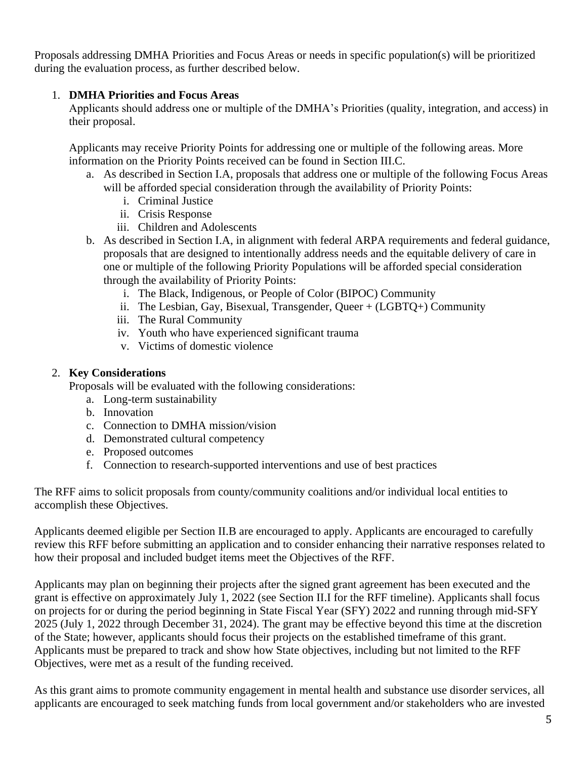Proposals addressing DMHA Priorities and Focus Areas or needs in specific population(s) will be prioritized during the evaluation process, as further described below.

#### 1. **DMHA Priorities and Focus Areas**

Applicants should address one or multiple of the DMHA's Priorities (quality, integration, and access) in their proposal.

Applicants may receive Priority Points for addressing one or multiple of the following areas. More information on the Priority Points received can be found in Section III.C.

- a. As described in Section I.A, proposals that address one or multiple of the following Focus Areas will be afforded special consideration through the availability of Priority Points:
	- i. Criminal Justice
	- ii. Crisis Response
	- iii. Children and Adolescents
- b. As described in Section I.A, in alignment with federal ARPA requirements and federal guidance, proposals that are designed to intentionally address needs and the equitable delivery of care in one or multiple of the following Priority Populations will be afforded special consideration through the availability of Priority Points:
	- i. The Black, Indigenous, or People of Color (BIPOC) Community
	- ii. The Lesbian, Gay, Bisexual, Transgender, Queer + (LGBTQ+) Community
	- iii. The Rural Community
	- iv. Youth who have experienced significant trauma
	- v. Victims of domestic violence

#### 2. **Key Considerations**

Proposals will be evaluated with the following considerations:

- a. Long-term sustainability
- b. Innovation
- c. Connection to DMHA mission/vision
- d. Demonstrated cultural competency
- e. Proposed outcomes
- f. Connection to research-supported interventions and use of best practices

The RFF aims to solicit proposals from county/community coalitions and/or individual local entities to accomplish these Objectives.

Applicants deemed eligible per Section II.B are encouraged to apply. Applicants are encouraged to carefully review this RFF before submitting an application and to consider enhancing their narrative responses related to how their proposal and included budget items meet the Objectives of the RFF.

Applicants may plan on beginning their projects after the signed grant agreement has been executed and the grant is effective on approximately July 1, 2022 (see Section II.I for the RFF timeline). Applicants shall focus on projects for or during the period beginning in State Fiscal Year (SFY) 2022 and running through mid-SFY 2025 (July 1, 2022 through December 31, 2024). The grant may be effective beyond this time at the discretion of the State; however, applicants should focus their projects on the established timeframe of this grant. Applicants must be prepared to track and show how State objectives, including but not limited to the RFF Objectives, were met as a result of the funding received.

As this grant aims to promote community engagement in mental health and substance use disorder services, all applicants are encouraged to seek matching funds from local government and/or stakeholders who are invested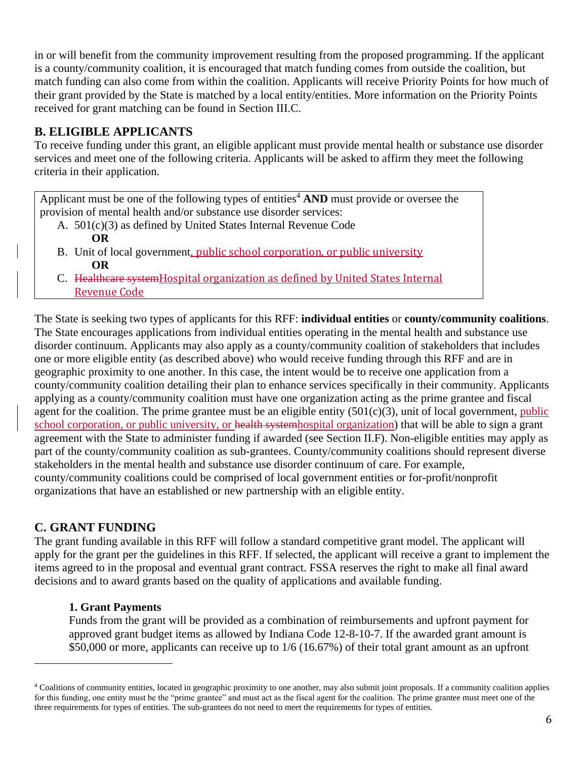in or will benefit from the community improvement resulting from the proposed programming. If the applicant is a county/community coalition, it is encouraged that match funding comes from outside the coalition, but match funding can also come from within the coalition. Applicants will receive Priority Points for how much of their grant provided by the State is matched by a local entity/entities. More information on the Priority Points received for grant matching can be found in Section III.C.

#### <span id="page-5-0"></span>**B. ELIGIBLE APPLICANTS**

To receive funding under this grant, an eligible applicant must provide mental health or substance use disorder services and meet one of the following criteria. Applicants will be asked to affirm they meet the following criteria in their application.

Applicant must be one of the following types of entities<sup>4</sup> AND must provide or oversee the provision of mental health and/or substance use disorder services:

- A. 501(c)(3) as defined by United States Internal Revenue Code **OR**
- B. Unit of local government, public school corporation, or public university  **OR**
- C. Healthcare systemHospital organization as defined by United States Internal Revenue Code

The State is seeking two types of applicants for this RFF: **individual entities** or **county/community coalitions**. The State encourages applications from individual entities operating in the mental health and substance use disorder continuum. Applicants may also apply as a county/community coalition of stakeholders that includes one or more eligible entity (as described above) who would receive funding through this RFF and are in geographic proximity to one another. In this case, the intent would be to receive one application from a county/community coalition detailing their plan to enhance services specifically in their community. Applicants applying as a county/community coalition must have one organization acting as the prime grantee and fiscal agent for the coalition. The prime grantee must be an eligible entity  $(501(c)(3))$ , unit of local government, public school corporation, or public university, or health systemhospital organization) that will be able to sign a grant agreement with the State to administer funding if awarded (see Section II.F). Non-eligible entities may apply as part of the county/community coalition as sub-grantees. County/community coalitions should represent diverse stakeholders in the mental health and substance use disorder continuum of care. For example, county/community coalitions could be comprised of local government entities or for-profit/nonprofit organizations that have an established or new partnership with an eligible entity.

#### <span id="page-5-1"></span>**C. GRANT FUNDING**

The grant funding available in this RFF will follow a standard competitive grant model. The applicant will apply for the grant per the guidelines in this RFF. If selected, the applicant will receive a grant to implement the items agreed to in the proposal and eventual grant contract. FSSA reserves the right to make all final award decisions and to award grants based on the quality of applications and available funding.

#### **1. Grant Payments**

Funds from the grant will be provided as a combination of reimbursements and upfront payment for approved grant budget items as allowed by Indiana Code 12-8-10-7. If the awarded grant amount is \$50,000 or more, applicants can receive up to 1/6 (16.67%) of their total grant amount as an upfront

<sup>4</sup> Coalitions of community entities, located in geographic proximity to one another, may also submit joint proposals. If a community coalition applies for this funding, one entity must be the "prime grantee" and must act as the fiscal agent for the coalition. The prime grantee must meet one of the three requirements for types of entities. The sub-grantees do not need to meet the requirements for types of entities.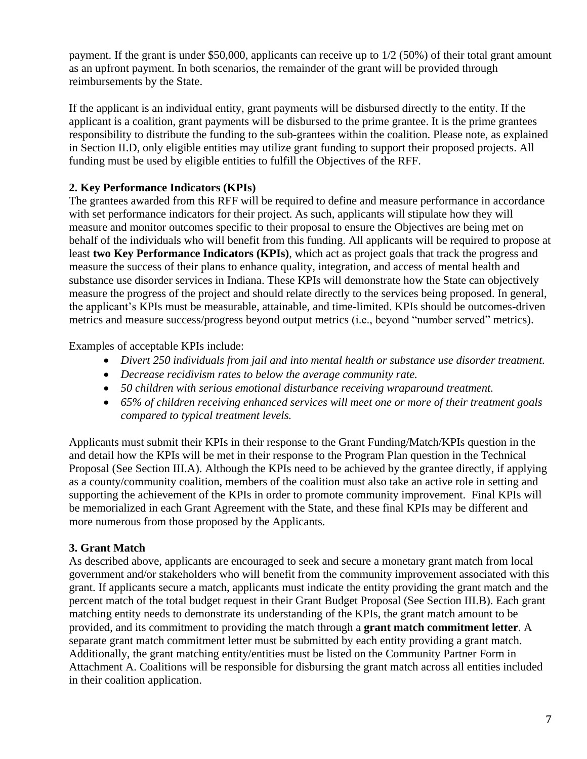payment. If the grant is under \$50,000, applicants can receive up to 1/2 (50%) of their total grant amount as an upfront payment. In both scenarios, the remainder of the grant will be provided through reimbursements by the State.

If the applicant is an individual entity, grant payments will be disbursed directly to the entity. If the applicant is a coalition, grant payments will be disbursed to the prime grantee. It is the prime grantees responsibility to distribute the funding to the sub-grantees within the coalition. Please note, as explained in Section II.D, only eligible entities may utilize grant funding to support their proposed projects. All funding must be used by eligible entities to fulfill the Objectives of the RFF.

#### **2. Key Performance Indicators (KPIs)**

The grantees awarded from this RFF will be required to define and measure performance in accordance with set performance indicators for their project. As such, applicants will stipulate how they will measure and monitor outcomes specific to their proposal to ensure the Objectives are being met on behalf of the individuals who will benefit from this funding. All applicants will be required to propose at least **two Key Performance Indicators (KPIs)**, which act as project goals that track the progress and measure the success of their plans to enhance quality, integration, and access of mental health and substance use disorder services in Indiana. These KPIs will demonstrate how the State can objectively measure the progress of the project and should relate directly to the services being proposed. In general, the applicant's KPIs must be measurable, attainable, and time-limited. KPIs should be outcomes-driven metrics and measure success/progress beyond output metrics (i.e., beyond "number served" metrics).

Examples of acceptable KPIs include:

- *Divert 250 individuals from jail and into mental health or substance use disorder treatment.*
- *Decrease recidivism rates to below the average community rate.*
- *50 children with serious emotional disturbance receiving wraparound treatment.*
- *65% of children receiving enhanced services will meet one or more of their treatment goals compared to typical treatment levels.*

Applicants must submit their KPIs in their response to the Grant Funding/Match/KPIs question in the and detail how the KPIs will be met in their response to the Program Plan question in the Technical Proposal (See Section III.A). Although the KPIs need to be achieved by the grantee directly, if applying as a county/community coalition, members of the coalition must also take an active role in setting and supporting the achievement of the KPIs in order to promote community improvement. Final KPIs will be memorialized in each Grant Agreement with the State, and these final KPIs may be different and more numerous from those proposed by the Applicants.

#### **3. Grant Match**

As described above, applicants are encouraged to seek and secure a monetary grant match from local government and/or stakeholders who will benefit from the community improvement associated with this grant. If applicants secure a match, applicants must indicate the entity providing the grant match and the percent match of the total budget request in their Grant Budget Proposal (See Section III.B). Each grant matching entity needs to demonstrate its understanding of the KPIs, the grant match amount to be provided, and its commitment to providing the match through a **grant match commitment letter**. A separate grant match commitment letter must be submitted by each entity providing a grant match. Additionally, the grant matching entity/entities must be listed on the Community Partner Form in Attachment A. Coalitions will be responsible for disbursing the grant match across all entities included in their coalition application.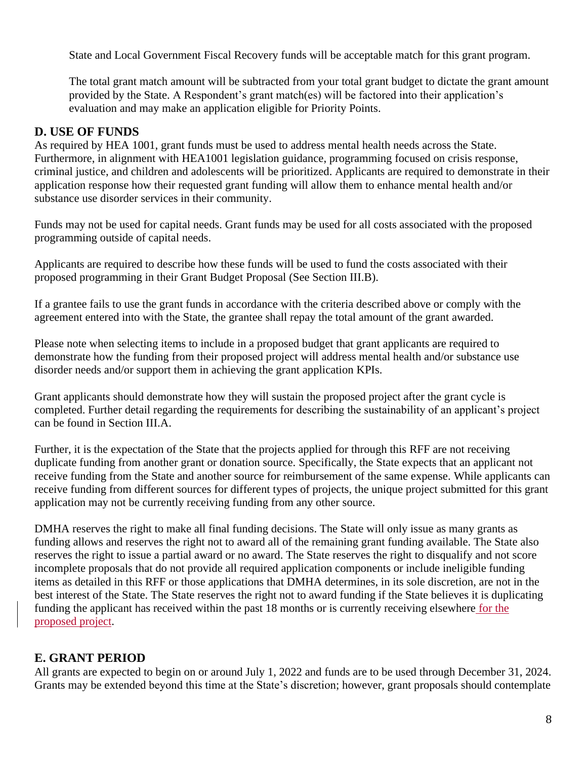State and Local Government Fiscal Recovery funds will be acceptable match for this grant program.

The total grant match amount will be subtracted from your total grant budget to dictate the grant amount provided by the State. A Respondent's grant match(es) will be factored into their application's evaluation and may make an application eligible for Priority Points.

#### <span id="page-7-0"></span>**D. USE OF FUNDS**

As required by HEA 1001, grant funds must be used to address mental health needs across the State. Furthermore, in alignment with HEA1001 legislation guidance, programming focused on crisis response, criminal justice, and children and adolescents will be prioritized. Applicants are required to demonstrate in their application response how their requested grant funding will allow them to enhance mental health and/or substance use disorder services in their community.

Funds may not be used for capital needs. Grant funds may be used for all costs associated with the proposed programming outside of capital needs.

Applicants are required to describe how these funds will be used to fund the costs associated with their proposed programming in their Grant Budget Proposal (See Section III.B).

If a grantee fails to use the grant funds in accordance with the criteria described above or comply with the agreement entered into with the State, the grantee shall repay the total amount of the grant awarded.

Please note when selecting items to include in a proposed budget that grant applicants are required to demonstrate how the funding from their proposed project will address mental health and/or substance use disorder needs and/or support them in achieving the grant application KPIs.

Grant applicants should demonstrate how they will sustain the proposed project after the grant cycle is completed. Further detail regarding the requirements for describing the sustainability of an applicant's project can be found in Section III.A.

Further, it is the expectation of the State that the projects applied for through this RFF are not receiving duplicate funding from another grant or donation source. Specifically, the State expects that an applicant not receive funding from the State and another source for reimbursement of the same expense. While applicants can receive funding from different sources for different types of projects, the unique project submitted for this grant application may not be currently receiving funding from any other source.

DMHA reserves the right to make all final funding decisions. The State will only issue as many grants as funding allows and reserves the right not to award all of the remaining grant funding available. The State also reserves the right to issue a partial award or no award. The State reserves the right to disqualify and not score incomplete proposals that do not provide all required application components or include ineligible funding items as detailed in this RFF or those applications that DMHA determines, in its sole discretion, are not in the best interest of the State. The State reserves the right not to award funding if the State believes it is duplicating funding the applicant has received within the past 18 months or is currently receiving elsewhere for the proposed project.

#### <span id="page-7-1"></span>**E. GRANT PERIOD**

All grants are expected to begin on or around July 1, 2022 and funds are to be used through December 31, 2024. Grants may be extended beyond this time at the State's discretion; however, grant proposals should contemplate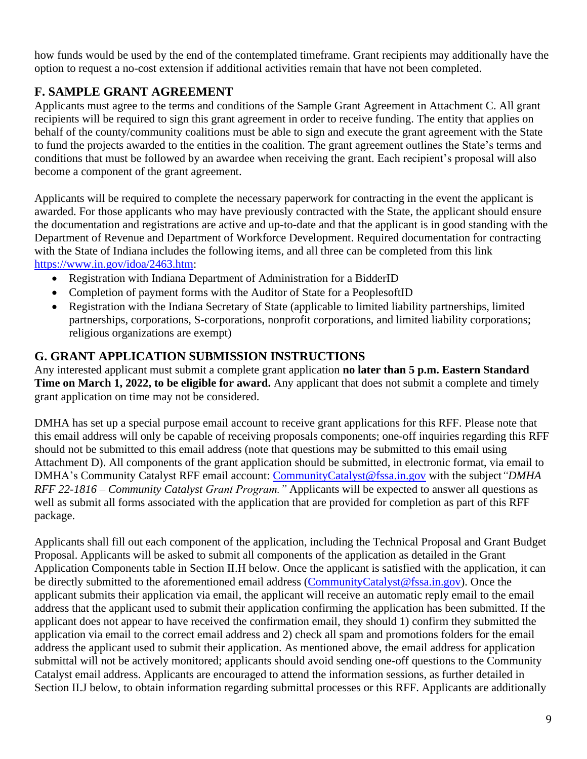how funds would be used by the end of the contemplated timeframe. Grant recipients may additionally have the option to request a no-cost extension if additional activities remain that have not been completed.

#### <span id="page-8-0"></span>**F. SAMPLE GRANT AGREEMENT**

Applicants must agree to the terms and conditions of the Sample Grant Agreement in Attachment C. All grant recipients will be required to sign this grant agreement in order to receive funding. The entity that applies on behalf of the county/community coalitions must be able to sign and execute the grant agreement with the State to fund the projects awarded to the entities in the coalition. The grant agreement outlines the State's terms and conditions that must be followed by an awardee when receiving the grant. Each recipient's proposal will also become a component of the grant agreement.

Applicants will be required to complete the necessary paperwork for contracting in the event the applicant is awarded. For those applicants who may have previously contracted with the State, the applicant should ensure the documentation and registrations are active and up-to-date and that the applicant is in good standing with the Department of Revenue and Department of Workforce Development. Required documentation for contracting with the State of Indiana includes the following items, and all three can be completed from this link [https://www.in.gov/idoa/2463.htm:](https://www.in.gov/idoa/2463.htm)

- Registration with Indiana Department of Administration for a BidderID
- Completion of payment forms with the Auditor of State for a PeoplesoftID
- Registration with the Indiana Secretary of State (applicable to limited liability partnerships, limited partnerships, corporations, S-corporations, nonprofit corporations, and limited liability corporations; religious organizations are exempt)

#### <span id="page-8-1"></span>**G. GRANT APPLICATION SUBMISSION INSTRUCTIONS**

Any interested applicant must submit a complete grant application **no later than 5 p.m. Eastern Standard Time on March 1, 2022, to be eligible for award.** Any applicant that does not submit a complete and timely grant application on time may not be considered.

DMHA has set up a special purpose email account to receive grant applications for this RFF. Please note that this email address will only be capable of receiving proposals components; one-off inquiries regarding this RFF should not be submitted to this email address (note that questions may be submitted to this email using Attachment D). All components of the grant application should be submitted, in electronic format, via email to DMHA's Community Catalyst RFF email account: [CommunityCatalyst@fssa.in.gov](mailto:CommunityCatalyst@fssa.in.gov) with the subject*"DMHA RFF 22-1816 – Community Catalyst Grant Program."* Applicants will be expected to answer all questions as well as submit all forms associated with the application that are provided for completion as part of this RFF package.

Applicants shall fill out each component of the application, including the Technical Proposal and Grant Budget Proposal. Applicants will be asked to submit all components of the application as detailed in the Grant Application Components table in Section II.H below. Once the applicant is satisfied with the application, it can be directly submitted to the aforementioned email address [\(CommunityCatalyst@fssa.in.gov\)](mailto:CommunityCatalyst@fssa.in.gov). Once the applicant submits their application via email, the applicant will receive an automatic reply email to the email address that the applicant used to submit their application confirming the application has been submitted. If the applicant does not appear to have received the confirmation email, they should 1) confirm they submitted the application via email to the correct email address and 2) check all spam and promotions folders for the email address the applicant used to submit their application. As mentioned above, the email address for application submittal will not be actively monitored; applicants should avoid sending one-off questions to the Community Catalyst email address. Applicants are encouraged to attend the information sessions, as further detailed in Section II.J below, to obtain information regarding submittal processes or this RFF. Applicants are additionally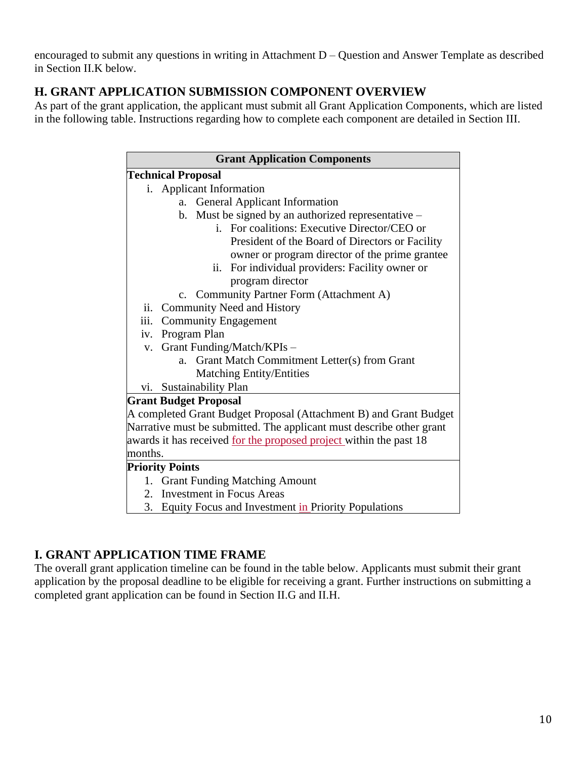encouraged to submit any questions in writing in Attachment D – Question and Answer Template as described in Section II.K below.

#### <span id="page-9-0"></span>**H. GRANT APPLICATION SUBMISSION COMPONENT OVERVIEW**

As part of the grant application, the applicant must submit all Grant Application Components, which are listed in the following table. Instructions regarding how to complete each component are detailed in Section III.

| <b>Grant Application Components</b>                                       |  |  |  |  |
|---------------------------------------------------------------------------|--|--|--|--|
| <b>Technical Proposal</b>                                                 |  |  |  |  |
| i. Applicant Information                                                  |  |  |  |  |
| <b>General Applicant Information</b><br>a.                                |  |  |  |  |
| b. Must be signed by an authorized representative $-$                     |  |  |  |  |
| i. For coalitions: Executive Director/CEO or                              |  |  |  |  |
| President of the Board of Directors or Facility                           |  |  |  |  |
| owner or program director of the prime grantee                            |  |  |  |  |
| ii. For individual providers: Facility owner or                           |  |  |  |  |
| program director                                                          |  |  |  |  |
| c. Community Partner Form (Attachment A)                                  |  |  |  |  |
| ii. Community Need and History                                            |  |  |  |  |
| iii. Community Engagement                                                 |  |  |  |  |
| Program Plan<br>iv.                                                       |  |  |  |  |
| v. Grant Funding/Match/KPIs -                                             |  |  |  |  |
| Grant Match Commitment Letter(s) from Grant<br>$a_{-}$                    |  |  |  |  |
| <b>Matching Entity/Entities</b>                                           |  |  |  |  |
| vi. Sustainability Plan                                                   |  |  |  |  |
| <b>Grant Budget Proposal</b>                                              |  |  |  |  |
| A completed Grant Budget Proposal (Attachment B) and Grant Budget         |  |  |  |  |
| Narrative must be submitted. The applicant must describe other grant      |  |  |  |  |
| awards it has received <u>for the proposed project</u> within the past 18 |  |  |  |  |
| months.                                                                   |  |  |  |  |
| <b>Priority Points</b>                                                    |  |  |  |  |
| 1. Grant Funding Matching Amount                                          |  |  |  |  |
| <b>Investment in Focus Areas</b><br>2.                                    |  |  |  |  |
| 3.<br>Equity Focus and Investment in Priority Populations                 |  |  |  |  |

#### <span id="page-9-1"></span>**I. GRANT APPLICATION TIME FRAME**

The overall grant application timeline can be found in the table below. Applicants must submit their grant application by the proposal deadline to be eligible for receiving a grant. Further instructions on submitting a completed grant application can be found in Section II.G and II.H.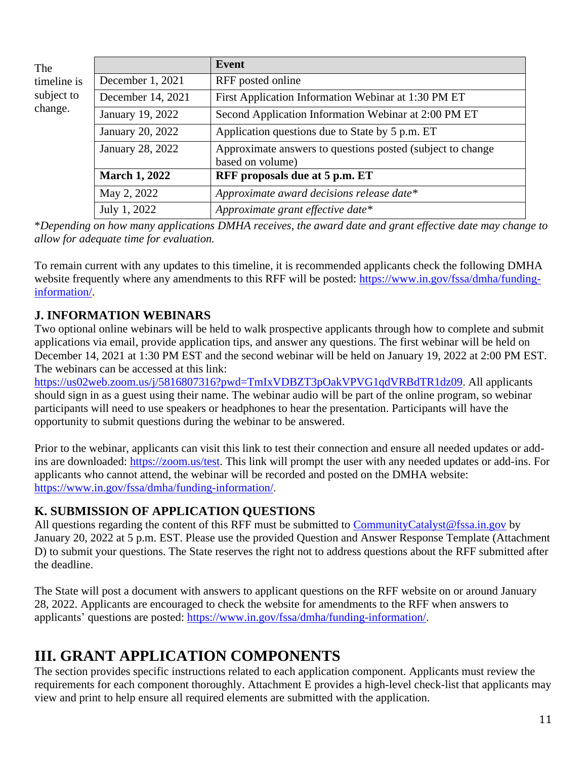| The                                  |                      | <b>Event</b>                                                                    |  |
|--------------------------------------|----------------------|---------------------------------------------------------------------------------|--|
| timeline is<br>subject to<br>change. | December 1, 2021     | RFF posted online                                                               |  |
|                                      | December 14, 2021    | First Application Information Webinar at 1:30 PM ET                             |  |
|                                      | January 19, 2022     | Second Application Information Webinar at 2:00 PM ET                            |  |
|                                      | January 20, 2022     | Application questions due to State by 5 p.m. ET                                 |  |
|                                      | January 28, 2022     | Approximate answers to questions posted (subject to change)<br>based on volume) |  |
|                                      | <b>March 1, 2022</b> | RFF proposals due at 5 p.m. ET                                                  |  |
|                                      | May 2, 2022          | Approximate award decisions release date*                                       |  |
|                                      | July 1, 2022         | Approximate grant effective date*                                               |  |

\**Depending on how many applications DMHA receives, the award date and grant effective date may change to allow for adequate time for evaluation.*

To remain current with any updates to this timeline, it is recommended applicants check the following DMHA website frequently where any amendments to this RFF will be posted: [https://www.in.gov/fssa/dmha/funding](https://www.in.gov/fssa/dmha/funding-information/)[information/.](https://www.in.gov/fssa/dmha/funding-information/)

#### <span id="page-10-0"></span>**J. INFORMATION WEBINARS**

Two optional online webinars will be held to walk prospective applicants through how to complete and submit applications via email, provide application tips, and answer any questions. The first webinar will be held on December 14, 2021 at 1:30 PM EST and the second webinar will be held on January 19, 2022 at 2:00 PM EST. The webinars can be accessed at this link:

[https://us02web.zoom.us/j/5816807316?pwd=TmIxVDBZT3pOakVPVG1qdVRBdTR1dz09.](https://us02web.zoom.us/j/5816807316?pwd=TmIxVDBZT3pOakVPVG1qdVRBdTR1dz09) All applicants should sign in as a guest using their name. The webinar audio will be part of the online program, so webinar participants will need to use speakers or headphones to hear the presentation. Participants will have the opportunity to submit questions during the webinar to be answered.

Prior to the webinar, applicants can visit this link to test their connection and ensure all needed updates or addins are downloaded: [https://zoom.us/test.](https://zoom.us/test) This link will prompt the user with any needed updates or add-ins. For applicants who cannot attend, the webinar will be recorded and posted on the DMHA website: <https://www.in.gov/fssa/dmha/funding-information/>.

#### <span id="page-10-1"></span>**K. SUBMISSION OF APPLICATION QUESTIONS**

All questions regarding the content of this RFF must be submitted to [CommunityCatalyst@fssa.in.gov](mailto:CommunityCatalyst@fssa.in.gov) by January 20, 2022 at 5 p.m. EST. Please use the provided Question and Answer Response Template (Attachment D) to submit your questions. The State reserves the right not to address questions about the RFF submitted after the deadline.

The State will post a document with answers to applicant questions on the RFF website on or around January 28, 2022. Applicants are encouraged to check the website for amendments to the RFF when answers to applicants' questions are posted: [https://www.in.gov/fssa/dmha/funding-information/.](https://www.in.gov/fssa/dmha/funding-information/)

# <span id="page-10-2"></span>**III. GRANT APPLICATION COMPONENTS**

The section provides specific instructions related to each application component. Applicants must review the requirements for each component thoroughly. Attachment E provides a high-level check-list that applicants may view and print to help ensure all required elements are submitted with the application.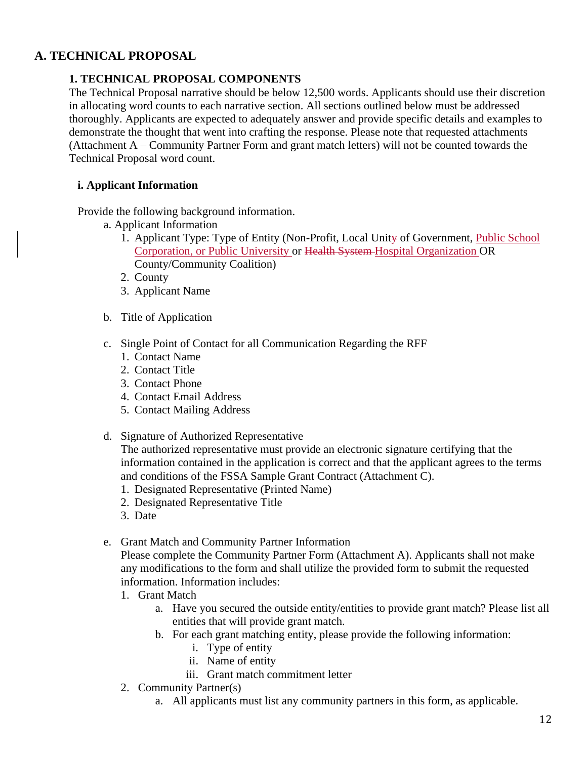#### <span id="page-11-0"></span>**A. TECHNICAL PROPOSAL**

#### **1. TECHNICAL PROPOSAL COMPONENTS**

The Technical Proposal narrative should be below 12,500 words. Applicants should use their discretion in allocating word counts to each narrative section. All sections outlined below must be addressed thoroughly. Applicants are expected to adequately answer and provide specific details and examples to demonstrate the thought that went into crafting the response. Please note that requested attachments (Attachment A – Community Partner Form and grant match letters) will not be counted towards the Technical Proposal word count.

#### **i. Applicant Information**

Provide the following background information.

- a. Applicant Information
	- 1. Applicant Type: Type of Entity (Non-Profit, Local Unity of Government, Public School Corporation, or Public University or Health System Hospital Organization OR County/Community Coalition)
	- 2. County
	- 3. Applicant Name
- b. Title of Application
- c. Single Point of Contact for all Communication Regarding the RFF
	- 1. Contact Name
	- 2. Contact Title
	- 3. Contact Phone
	- 4. Contact Email Address
	- 5. Contact Mailing Address
- d. Signature of Authorized Representative

The authorized representative must provide an electronic signature certifying that the information contained in the application is correct and that the applicant agrees to the terms and conditions of the FSSA Sample Grant Contract (Attachment C).

- 1. Designated Representative (Printed Name)
- 2. Designated Representative Title
- 3. Date

#### e. Grant Match and Community Partner Information

Please complete the Community Partner Form (Attachment A). Applicants shall not make any modifications to the form and shall utilize the provided form to submit the requested information. Information includes:

- 1. Grant Match
	- a. Have you secured the outside entity/entities to provide grant match? Please list all entities that will provide grant match.
	- b. For each grant matching entity, please provide the following information:
		- i. Type of entity
		- ii. Name of entity
		- iii. Grant match commitment letter
- 2. Community Partner(s)
	- a. All applicants must list any community partners in this form, as applicable.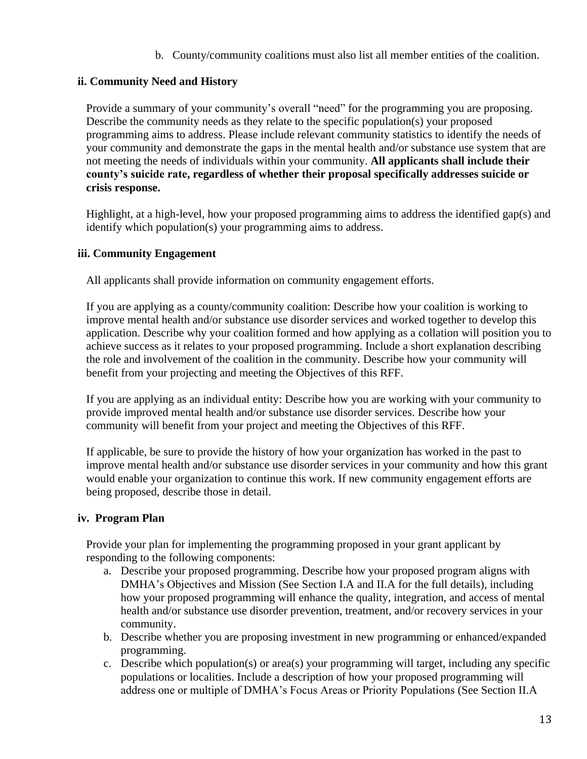b. County/community coalitions must also list all member entities of the coalition.

#### **ii. Community Need and History**

Provide a summary of your community's overall "need" for the programming you are proposing. Describe the community needs as they relate to the specific population(s) your proposed programming aims to address. Please include relevant community statistics to identify the needs of your community and demonstrate the gaps in the mental health and/or substance use system that are not meeting the needs of individuals within your community. **All applicants shall include their county's suicide rate, regardless of whether their proposal specifically addresses suicide or crisis response.**

Highlight, at a high-level, how your proposed programming aims to address the identified gap(s) and identify which population(s) your programming aims to address.

#### **iii. Community Engagement**

All applicants shall provide information on community engagement efforts.

If you are applying as a county/community coalition: Describe how your coalition is working to improve mental health and/or substance use disorder services and worked together to develop this application. Describe why your coalition formed and how applying as a collation will position you to achieve success as it relates to your proposed programming. Include a short explanation describing the role and involvement of the coalition in the community. Describe how your community will benefit from your projecting and meeting the Objectives of this RFF.

If you are applying as an individual entity: Describe how you are working with your community to provide improved mental health and/or substance use disorder services. Describe how your community will benefit from your project and meeting the Objectives of this RFF.

If applicable, be sure to provide the history of how your organization has worked in the past to improve mental health and/or substance use disorder services in your community and how this grant would enable your organization to continue this work. If new community engagement efforts are being proposed, describe those in detail.

#### **iv. Program Plan**

Provide your plan for implementing the programming proposed in your grant applicant by responding to the following components:

- a. Describe your proposed programming. Describe how your proposed program aligns with DMHA's Objectives and Mission (See Section I.A and II.A for the full details), including how your proposed programming will enhance the quality, integration, and access of mental health and/or substance use disorder prevention, treatment, and/or recovery services in your community.
- b. Describe whether you are proposing investment in new programming or enhanced/expanded programming.
- c. Describe which population(s) or area(s) your programming will target, including any specific populations or localities. Include a description of how your proposed programming will address one or multiple of DMHA's Focus Areas or Priority Populations (See Section II.A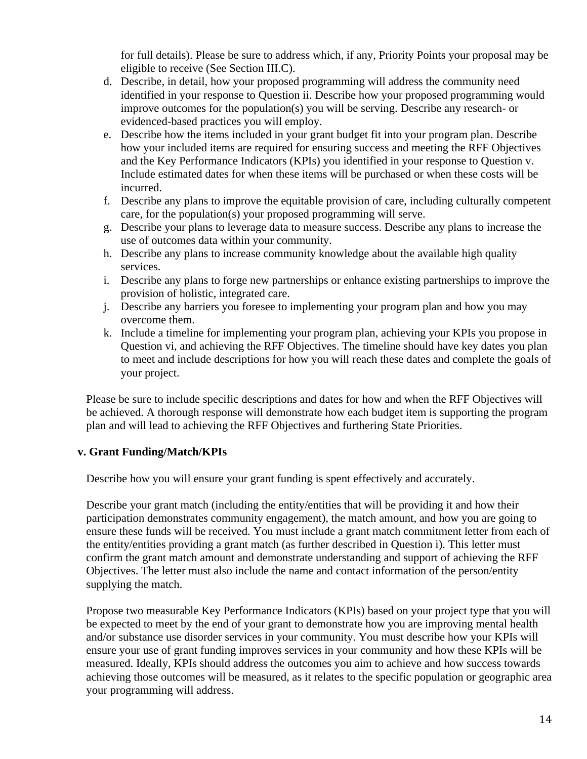for full details). Please be sure to address which, if any, Priority Points your proposal may be eligible to receive (See Section III.C).

- d. Describe, in detail, how your proposed programming will address the community need identified in your response to Question ii. Describe how your proposed programming would improve outcomes for the population(s) you will be serving. Describe any research- or evidenced-based practices you will employ.
- e. Describe how the items included in your grant budget fit into your program plan. Describe how your included items are required for ensuring success and meeting the RFF Objectives and the Key Performance Indicators (KPIs) you identified in your response to Question v. Include estimated dates for when these items will be purchased or when these costs will be incurred.
- f. Describe any plans to improve the equitable provision of care, including culturally competent care, for the population(s) your proposed programming will serve.
- g. Describe your plans to leverage data to measure success. Describe any plans to increase the use of outcomes data within your community.
- h. Describe any plans to increase community knowledge about the available high quality services.
- i. Describe any plans to forge new partnerships or enhance existing partnerships to improve the provision of holistic, integrated care.
- j. Describe any barriers you foresee to implementing your program plan and how you may overcome them.
- k. Include a timeline for implementing your program plan, achieving your KPIs you propose in Question vi, and achieving the RFF Objectives. The timeline should have key dates you plan to meet and include descriptions for how you will reach these dates and complete the goals of your project.

Please be sure to include specific descriptions and dates for how and when the RFF Objectives will be achieved. A thorough response will demonstrate how each budget item is supporting the program plan and will lead to achieving the RFF Objectives and furthering State Priorities.

#### **v. Grant Funding/Match/KPIs**

Describe how you will ensure your grant funding is spent effectively and accurately.

Describe your grant match (including the entity/entities that will be providing it and how their participation demonstrates community engagement), the match amount, and how you are going to ensure these funds will be received. You must include a grant match commitment letter from each of the entity/entities providing a grant match (as further described in Question i). This letter must confirm the grant match amount and demonstrate understanding and support of achieving the RFF Objectives. The letter must also include the name and contact information of the person/entity supplying the match.

Propose two measurable Key Performance Indicators (KPIs) based on your project type that you will be expected to meet by the end of your grant to demonstrate how you are improving mental health and/or substance use disorder services in your community. You must describe how your KPIs will ensure your use of grant funding improves services in your community and how these KPIs will be measured. Ideally, KPIs should address the outcomes you aim to achieve and how success towards achieving those outcomes will be measured, as it relates to the specific population or geographic area your programming will address.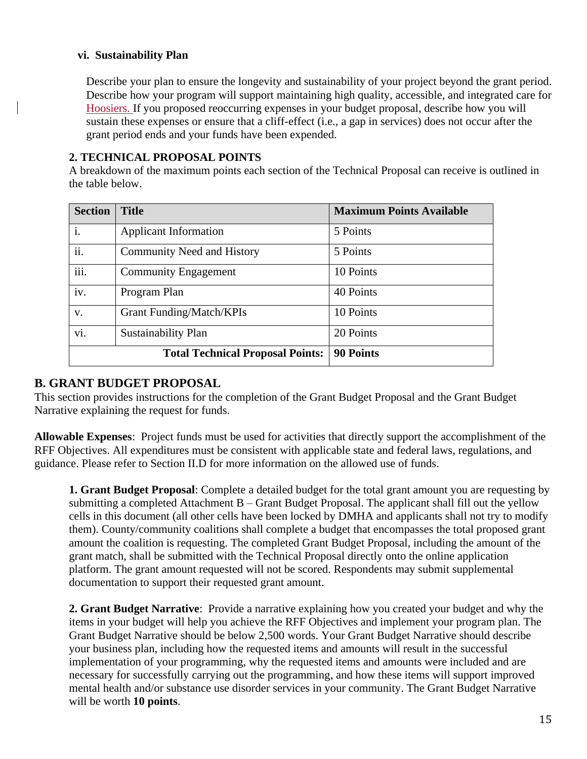#### **vi. Sustainability Plan**

Describe your plan to ensure the longevity and sustainability of your project beyond the grant period. Describe how your program will support maintaining high quality, accessible, and integrated care for Hoosiers. If you proposed reoccurring expenses in your budget proposal, describe how you will sustain these expenses or ensure that a cliff-effect (i.e., a gap in services) does not occur after the grant period ends and your funds have been expended.

#### **2. TECHNICAL PROPOSAL POINTS**

A breakdown of the maximum points each section of the Technical Proposal can receive is outlined in the table below.

| <b>Section</b> | <b>Title</b>                            | <b>Maximum Points Available</b> |
|----------------|-----------------------------------------|---------------------------------|
| $\mathbf{i}$ . | <b>Applicant Information</b>            | 5 Points                        |
| ii.            | <b>Community Need and History</b>       | 5 Points                        |
| iii.           | <b>Community Engagement</b>             | 10 Points                       |
| iv.            | Program Plan                            | 40 Points                       |
| V.             | <b>Grant Funding/Match/KPIs</b>         | 10 Points                       |
| vi.            | Sustainability Plan                     | 20 Points                       |
|                | <b>Total Technical Proposal Points:</b> | <b>90 Points</b>                |

#### <span id="page-14-0"></span>**B. GRANT BUDGET PROPOSAL**

This section provides instructions for the completion of the Grant Budget Proposal and the Grant Budget Narrative explaining the request for funds.

**Allowable Expenses**: Project funds must be used for activities that directly support the accomplishment of the RFF Objectives. All expenditures must be consistent with applicable state and federal laws, regulations, and guidance. Please refer to Section II.D for more information on the allowed use of funds.

**1. Grant Budget Proposal**: Complete a detailed budget for the total grant amount you are requesting by submitting a completed Attachment B – Grant Budget Proposal. The applicant shall fill out the yellow cells in this document (all other cells have been locked by DMHA and applicants shall not try to modify them). County/community coalitions shall complete a budget that encompasses the total proposed grant amount the coalition is requesting. The completed Grant Budget Proposal, including the amount of the grant match, shall be submitted with the Technical Proposal directly onto the online application platform. The grant amount requested will not be scored. Respondents may submit supplemental documentation to support their requested grant amount.

**2. Grant Budget Narrative**: Provide a narrative explaining how you created your budget and why the items in your budget will help you achieve the RFF Objectives and implement your program plan. The Grant Budget Narrative should be below 2,500 words. Your Grant Budget Narrative should describe your business plan, including how the requested items and amounts will result in the successful implementation of your programming, why the requested items and amounts were included and are necessary for successfully carrying out the programming, and how these items will support improved mental health and/or substance use disorder services in your community. The Grant Budget Narrative will be worth **10 points**.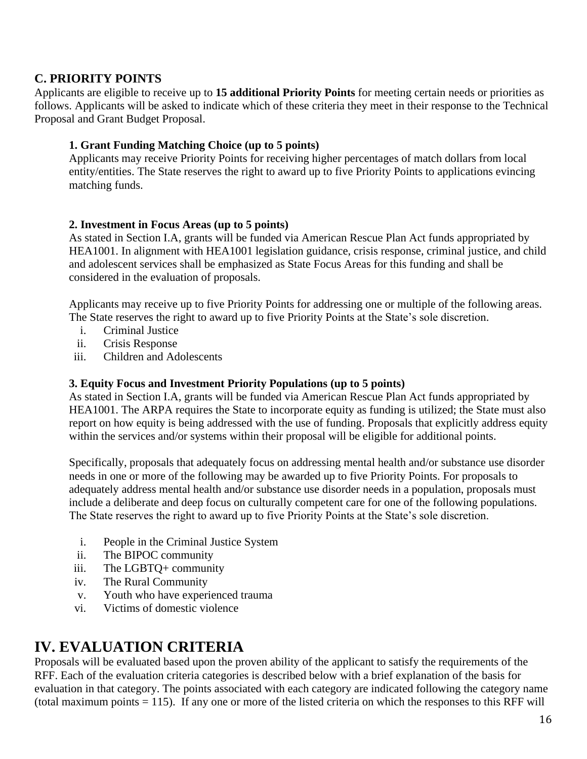#### <span id="page-15-0"></span>**C. PRIORITY POINTS**

Applicants are eligible to receive up to **15 additional Priority Points** for meeting certain needs or priorities as follows. Applicants will be asked to indicate which of these criteria they meet in their response to the Technical Proposal and Grant Budget Proposal.

#### **1. Grant Funding Matching Choice (up to 5 points)**

Applicants may receive Priority Points for receiving higher percentages of match dollars from local entity/entities. The State reserves the right to award up to five Priority Points to applications evincing matching funds.

#### **2. Investment in Focus Areas (up to 5 points)**

As stated in Section I.A, grants will be funded via American Rescue Plan Act funds appropriated by HEA1001. In alignment with HEA1001 legislation guidance, crisis response, criminal justice, and child and adolescent services shall be emphasized as State Focus Areas for this funding and shall be considered in the evaluation of proposals.

Applicants may receive up to five Priority Points for addressing one or multiple of the following areas. The State reserves the right to award up to five Priority Points at the State's sole discretion.

- i. Criminal Justice
- ii. Crisis Response
- iii. Children and Adolescents

#### **3. Equity Focus and Investment Priority Populations (up to 5 points)**

As stated in Section I.A, grants will be funded via American Rescue Plan Act funds appropriated by HEA1001. The ARPA requires the State to incorporate equity as funding is utilized; the State must also report on how equity is being addressed with the use of funding. Proposals that explicitly address equity within the services and/or systems within their proposal will be eligible for additional points.

Specifically, proposals that adequately focus on addressing mental health and/or substance use disorder needs in one or more of the following may be awarded up to five Priority Points. For proposals to adequately address mental health and/or substance use disorder needs in a population, proposals must include a deliberate and deep focus on culturally competent care for one of the following populations. The State reserves the right to award up to five Priority Points at the State's sole discretion.

- i. People in the Criminal Justice System
- ii. The BIPOC community
- iii. The LGBTQ+ community
- iv. The Rural Community
- v. Youth who have experienced trauma
- vi. Victims of domestic violence

### <span id="page-15-1"></span>**IV. EVALUATION CRITERIA**

Proposals will be evaluated based upon the proven ability of the applicant to satisfy the requirements of the RFF. Each of the evaluation criteria categories is described below with a brief explanation of the basis for evaluation in that category. The points associated with each category are indicated following the category name (total maximum points = 115). If any one or more of the listed criteria on which the responses to this RFF will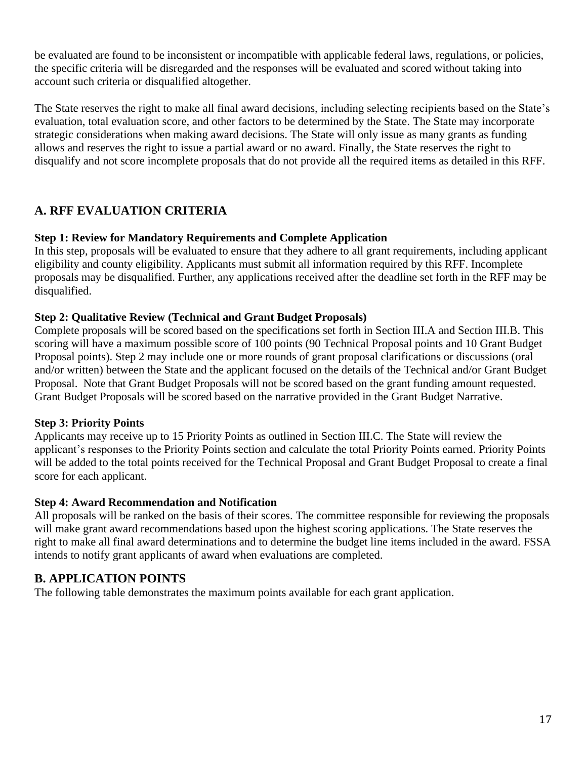be evaluated are found to be inconsistent or incompatible with applicable federal laws, regulations, or policies, the specific criteria will be disregarded and the responses will be evaluated and scored without taking into account such criteria or disqualified altogether.

The State reserves the right to make all final award decisions, including selecting recipients based on the State's evaluation, total evaluation score, and other factors to be determined by the State. The State may incorporate strategic considerations when making award decisions. The State will only issue as many grants as funding allows and reserves the right to issue a partial award or no award. Finally, the State reserves the right to disqualify and not score incomplete proposals that do not provide all the required items as detailed in this RFF.

#### <span id="page-16-0"></span>**A. RFF EVALUATION CRITERIA**

#### **Step 1: Review for Mandatory Requirements and Complete Application**

In this step, proposals will be evaluated to ensure that they adhere to all grant requirements, including applicant eligibility and county eligibility. Applicants must submit all information required by this RFF. Incomplete proposals may be disqualified. Further, any applications received after the deadline set forth in the RFF may be disqualified.

#### **Step 2: Qualitative Review (Technical and Grant Budget Proposals)**

Complete proposals will be scored based on the specifications set forth in Section III.A and Section III.B. This scoring will have a maximum possible score of 100 points (90 Technical Proposal points and 10 Grant Budget Proposal points). Step 2 may include one or more rounds of grant proposal clarifications or discussions (oral and/or written) between the State and the applicant focused on the details of the Technical and/or Grant Budget Proposal. Note that Grant Budget Proposals will not be scored based on the grant funding amount requested. Grant Budget Proposals will be scored based on the narrative provided in the Grant Budget Narrative.

#### **Step 3: Priority Points**

Applicants may receive up to 15 Priority Points as outlined in Section III.C. The State will review the applicant's responses to the Priority Points section and calculate the total Priority Points earned. Priority Points will be added to the total points received for the Technical Proposal and Grant Budget Proposal to create a final score for each applicant.

#### **Step 4: Award Recommendation and Notification**

All proposals will be ranked on the basis of their scores. The committee responsible for reviewing the proposals will make grant award recommendations based upon the highest scoring applications. The State reserves the right to make all final award determinations and to determine the budget line items included in the award. FSSA intends to notify grant applicants of award when evaluations are completed.

#### <span id="page-16-1"></span>**B. APPLICATION POINTS**

The following table demonstrates the maximum points available for each grant application.